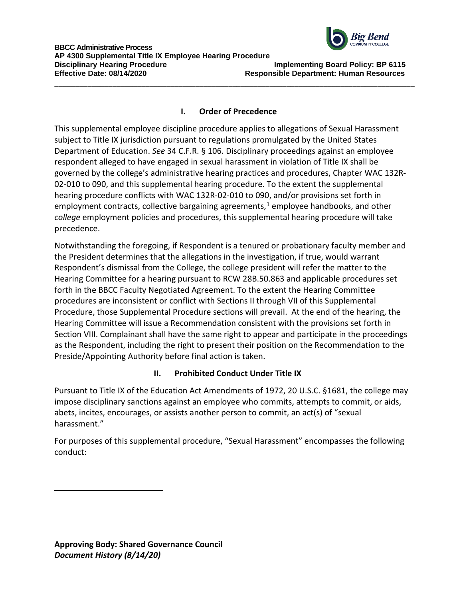

**Effective Date: 08/14/2020 Responsible Department: Human Resources**

## **I. Order of Precedence**

\_\_\_\_\_\_\_\_\_\_\_\_\_\_\_\_\_\_\_\_\_\_\_\_\_\_\_\_\_\_\_\_\_\_\_\_\_\_\_\_\_\_\_\_\_\_\_\_\_\_\_\_\_\_\_\_\_\_\_\_\_\_\_\_\_\_\_\_\_\_\_\_\_\_\_\_\_\_\_\_\_\_\_\_\_\_\_

This supplemental employee discipline procedure applies to allegations of Sexual Harassment subject to Title IX jurisdiction pursuant to regulations promulgated by the United States Department of Education. *See* 34 C.F.R. § 106. Disciplinary proceedings against an employee respondent alleged to have engaged in sexual harassment in violation of Title IX shall be governed by the college's administrative hearing practices and procedures, Chapter WAC 132R-02-010 to 090, and this supplemental hearing procedure. To the extent the supplemental hearing procedure conflicts with WAC 132R-02-010 to 090, and/or provisions set forth in employment contracts, collective bargaining agreements, $1$  employee handbooks, and other *college* employment policies and procedures, this supplemental hearing procedure will take precedence.

Notwithstanding the foregoing, if Respondent is a tenured or probationary faculty member and the President determines that the allegations in the investigation, if true, would warrant Respondent's dismissal from the College, the college president will refer the matter to the Hearing Committee for a hearing pursuant to RCW 28B.50.863 and applicable procedures set forth in the BBCC Faculty Negotiated Agreement. To the extent the Hearing Committee procedures are inconsistent or conflict with Sections II through VII of this Supplemental Procedure, those Supplemental Procedure sections will prevail. At the end of the hearing, the Hearing Committee will issue a Recommendation consistent with the provisions set forth in Section VIII. Complainant shall have the same right to appear and participate in the proceedings as the Respondent, including the right to present their position on the Recommendation to the Preside/Appointing Authority before final action is taken.

# **II. Prohibited Conduct Under Title IX**

Pursuant to Title IX of the Education Act Amendments of 1972, 20 U.S.C. §1681, the college may impose disciplinary sanctions against an employee who commits, attempts to commit, or aids, abets, incites, encourages, or assists another person to commit, an act(s) of "sexual harassment."

For purposes of this supplemental procedure, "Sexual Harassment" encompasses the following conduct:

<span id="page-0-0"></span> $\overline{a}$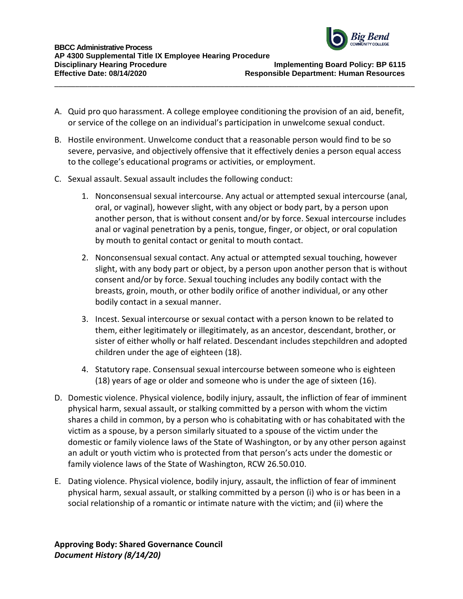

**Effective Date: 08/14/2020 Responsible Department: Human Resources**

A. Quid pro quo harassment. A college employee conditioning the provision of an aid, benefit, or service of the college on an individual's participation in unwelcome sexual conduct.

\_\_\_\_\_\_\_\_\_\_\_\_\_\_\_\_\_\_\_\_\_\_\_\_\_\_\_\_\_\_\_\_\_\_\_\_\_\_\_\_\_\_\_\_\_\_\_\_\_\_\_\_\_\_\_\_\_\_\_\_\_\_\_\_\_\_\_\_\_\_\_\_\_\_\_\_\_\_\_\_\_\_\_\_\_\_\_

- B. Hostile environment. Unwelcome conduct that a reasonable person would find to be so severe, pervasive, and objectively offensive that it effectively denies a person equal access to the college's educational programs or activities, or employment.
- C. Sexual assault. Sexual assault includes the following conduct:
	- 1. Nonconsensual sexual intercourse. Any actual or attempted sexual intercourse (anal, oral, or vaginal), however slight, with any object or body part, by a person upon another person, that is without consent and/or by force. Sexual intercourse includes anal or vaginal penetration by a penis, tongue, finger, or object, or oral copulation by mouth to genital contact or genital to mouth contact.
	- 2. Nonconsensual sexual contact. Any actual or attempted sexual touching, however slight, with any body part or object, by a person upon another person that is without consent and/or by force. Sexual touching includes any bodily contact with the breasts, groin, mouth, or other bodily orifice of another individual, or any other bodily contact in a sexual manner.
	- 3. Incest. Sexual intercourse or sexual contact with a person known to be related to them, either legitimately or illegitimately, as an ancestor, descendant, brother, or sister of either wholly or half related. Descendant includes stepchildren and adopted children under the age of eighteen (18).
	- 4. Statutory rape. Consensual sexual intercourse between someone who is eighteen (18) years of age or older and someone who is under the age of sixteen (16).
- D. Domestic violence. Physical violence, bodily injury, assault, the infliction of fear of imminent physical harm, sexual assault, or stalking committed by a person with whom the victim shares a child in common, by a person who is cohabitating with or has cohabitated with the victim as a spouse, by a person similarly situated to a spouse of the victim under the domestic or family violence laws of the State of Washington, or by any other person against an adult or youth victim who is protected from that person's acts under the domestic or family violence laws of the State of Washington, RCW 26.50.010.
- E. Dating violence. Physical violence, bodily injury, assault, the infliction of fear of imminent physical harm, sexual assault, or stalking committed by a person (i) who is or has been in a social relationship of a romantic or intimate nature with the victim; and (ii) where the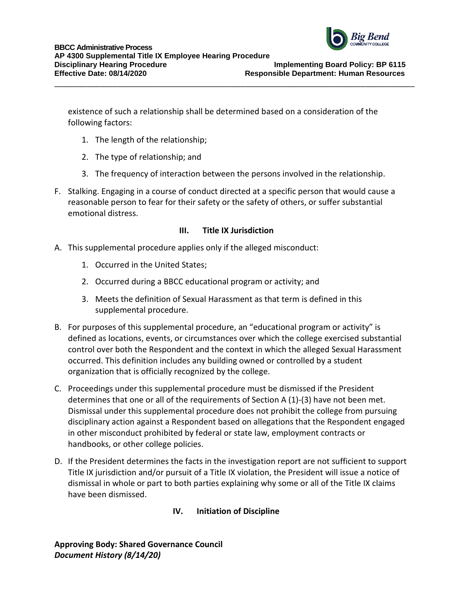

**Effective Date: 08/14/2020 Responsible Department: Human Resources**

existence of such a relationship shall be determined based on a consideration of the following factors:

\_\_\_\_\_\_\_\_\_\_\_\_\_\_\_\_\_\_\_\_\_\_\_\_\_\_\_\_\_\_\_\_\_\_\_\_\_\_\_\_\_\_\_\_\_\_\_\_\_\_\_\_\_\_\_\_\_\_\_\_\_\_\_\_\_\_\_\_\_\_\_\_\_\_\_\_\_\_\_\_\_\_\_\_\_\_\_

- 1. The length of the relationship;
- 2. The type of relationship; and
- 3. The frequency of interaction between the persons involved in the relationship.
- F. Stalking. Engaging in a course of conduct directed at a specific person that would cause a reasonable person to fear for their safety or the safety of others, or suffer substantial emotional distress.

### **III. Title IX Jurisdiction**

- A. This supplemental procedure applies only if the alleged misconduct:
	- 1. Occurred in the United States;
	- 2. Occurred during a BBCC educational program or activity; and
	- 3. Meets the definition of Sexual Harassment as that term is defined in this supplemental procedure.
- B. For purposes of this supplemental procedure, an "educational program or activity" is defined as locations, events, or circumstances over which the college exercised substantial control over both the Respondent and the context in which the alleged Sexual Harassment occurred. This definition includes any building owned or controlled by a student organization that is officially recognized by the college.
- C. Proceedings under this supplemental procedure must be dismissed if the President determines that one or all of the requirements of Section A (1)-(3) have not been met. Dismissal under this supplemental procedure does not prohibit the college from pursuing disciplinary action against a Respondent based on allegations that the Respondent engaged in other misconduct prohibited by federal or state law, employment contracts or handbooks, or other college policies.
- D. If the President determines the facts in the investigation report are not sufficient to support Title IX jurisdiction and/or pursuit of a Title IX violation, the President will issue a notice of dismissal in whole or part to both parties explaining why some or all of the Title IX claims have been dismissed.

# **IV. Initiation of Discipline**

**Approving Body: Shared Governance Council** *Document History (8/14/20)*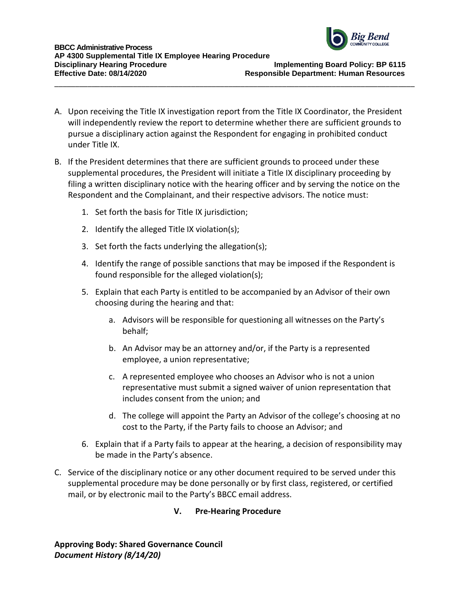

A. Upon receiving the Title IX investigation report from the Title IX Coordinator, the President will independently review the report to determine whether there are sufficient grounds to pursue a disciplinary action against the Respondent for engaging in prohibited conduct under Title IX.

\_\_\_\_\_\_\_\_\_\_\_\_\_\_\_\_\_\_\_\_\_\_\_\_\_\_\_\_\_\_\_\_\_\_\_\_\_\_\_\_\_\_\_\_\_\_\_\_\_\_\_\_\_\_\_\_\_\_\_\_\_\_\_\_\_\_\_\_\_\_\_\_\_\_\_\_\_\_\_\_\_\_\_\_\_\_\_

- B. If the President determines that there are sufficient grounds to proceed under these supplemental procedures, the President will initiate a Title IX disciplinary proceeding by filing a written disciplinary notice with the hearing officer and by serving the notice on the Respondent and the Complainant, and their respective advisors. The notice must:
	- 1. Set forth the basis for Title IX jurisdiction;
	- 2. Identify the alleged Title IX violation(s);
	- 3. Set forth the facts underlying the allegation(s);
	- 4. Identify the range of possible sanctions that may be imposed if the Respondent is found responsible for the alleged violation(s);
	- 5. Explain that each Party is entitled to be accompanied by an Advisor of their own choosing during the hearing and that:
		- a. Advisors will be responsible for questioning all witnesses on the Party's behalf;
		- b. An Advisor may be an attorney and/or, if the Party is a represented employee, a union representative;
		- c. A represented employee who chooses an Advisor who is not a union representative must submit a signed waiver of union representation that includes consent from the union; and
		- d. The college will appoint the Party an Advisor of the college's choosing at no cost to the Party, if the Party fails to choose an Advisor; and
	- 6. Explain that if a Party fails to appear at the hearing, a decision of responsibility may be made in the Party's absence.
- C. Service of the disciplinary notice or any other document required to be served under this supplemental procedure may be done personally or by first class, registered, or certified mail, or by electronic mail to the Party's BBCC email address.

### **V. Pre-Hearing Procedure**

**Approving Body: Shared Governance Council** *Document History (8/14/20)*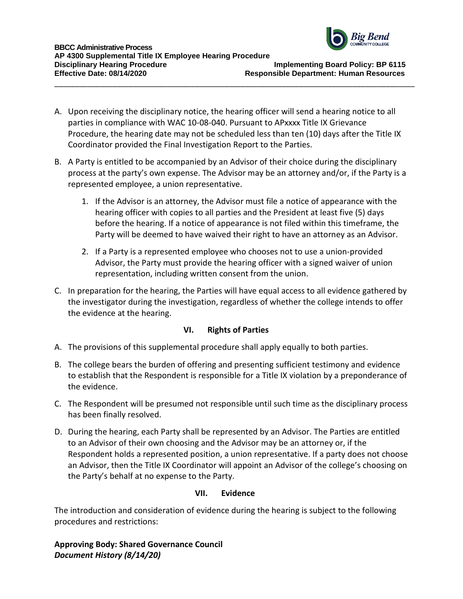

A. Upon receiving the disciplinary notice, the hearing officer will send a hearing notice to all parties in compliance with WAC 10-08-040. Pursuant to APxxxx Title IX Grievance Procedure, the hearing date may not be scheduled less than ten (10) days after the Title IX Coordinator provided the Final Investigation Report to the Parties.

\_\_\_\_\_\_\_\_\_\_\_\_\_\_\_\_\_\_\_\_\_\_\_\_\_\_\_\_\_\_\_\_\_\_\_\_\_\_\_\_\_\_\_\_\_\_\_\_\_\_\_\_\_\_\_\_\_\_\_\_\_\_\_\_\_\_\_\_\_\_\_\_\_\_\_\_\_\_\_\_\_\_\_\_\_\_\_

- B. A Party is entitled to be accompanied by an Advisor of their choice during the disciplinary process at the party's own expense. The Advisor may be an attorney and/or, if the Party is a represented employee, a union representative.
	- 1. If the Advisor is an attorney, the Advisor must file a notice of appearance with the hearing officer with copies to all parties and the President at least five (5) days before the hearing. If a notice of appearance is not filed within this timeframe, the Party will be deemed to have waived their right to have an attorney as an Advisor.
	- 2. If a Party is a represented employee who chooses not to use a union-provided Advisor, the Party must provide the hearing officer with a signed waiver of union representation, including written consent from the union.
- C. In preparation for the hearing, the Parties will have equal access to all evidence gathered by the investigator during the investigation, regardless of whether the college intends to offer the evidence at the hearing.

# **VI. Rights of Parties**

- A. The provisions of this supplemental procedure shall apply equally to both parties.
- B. The college bears the burden of offering and presenting sufficient testimony and evidence to establish that the Respondent is responsible for a Title IX violation by a preponderance of the evidence.
- C. The Respondent will be presumed not responsible until such time as the disciplinary process has been finally resolved.
- D. During the hearing, each Party shall be represented by an Advisor. The Parties are entitled to an Advisor of their own choosing and the Advisor may be an attorney or, if the Respondent holds a represented position, a union representative. If a party does not choose an Advisor, then the Title IX Coordinator will appoint an Advisor of the college's choosing on the Party's behalf at no expense to the Party.

# **VII. Evidence**

The introduction and consideration of evidence during the hearing is subject to the following procedures and restrictions:

**Approving Body: Shared Governance Council** *Document History (8/14/20)*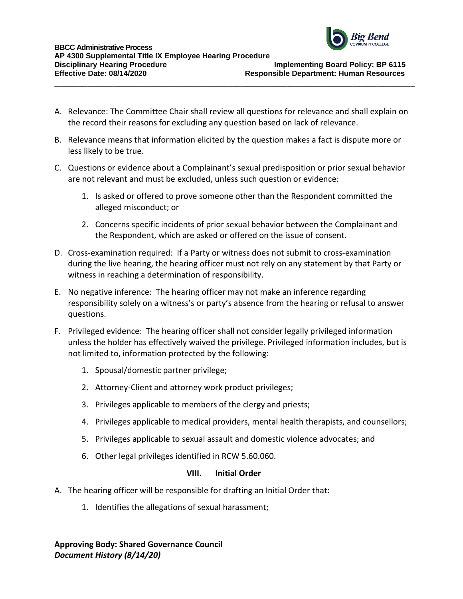

A. Relevance: The Committee Chair shall review all questions for relevance and shall explain on the record their reasons for excluding any question based on lack of relevance.

\_\_\_\_\_\_\_\_\_\_\_\_\_\_\_\_\_\_\_\_\_\_\_\_\_\_\_\_\_\_\_\_\_\_\_\_\_\_\_\_\_\_\_\_\_\_\_\_\_\_\_\_\_\_\_\_\_\_\_\_\_\_\_\_\_\_\_\_\_\_\_\_\_\_\_\_\_\_\_\_\_\_\_\_\_\_\_

- B. Relevance means that information elicited by the question makes a fact is dispute more or less likely to be true.
- C. Questions or evidence about a Complainant's sexual predisposition or prior sexual behavior are not relevant and must be excluded, unless such question or evidence:
	- 1. Is asked or offered to prove someone other than the Respondent committed the alleged misconduct; or
	- 2. Concerns specific incidents of prior sexual behavior between the Complainant and the Respondent, which are asked or offered on the issue of consent.
- D. Cross-examination required: If a Party or witness does not submit to cross-examination during the live hearing, the hearing officer must not rely on any statement by that Party or witness in reaching a determination of responsibility.
- E. No negative inference: The hearing officer may not make an inference regarding responsibility solely on a witness's or party's absence from the hearing or refusal to answer questions.
- F. Privileged evidence: The hearing officer shall not consider legally privileged information unless the holder has effectively waived the privilege. Privileged information includes, but is not limited to, information protected by the following:
	- 1. Spousal/domestic partner privilege;
	- 2. Attorney-Client and attorney work product privileges;
	- 3. Privileges applicable to members of the clergy and priests;
	- 4. Privileges applicable to medical providers, mental health therapists, and counsellors;
	- 5. Privileges applicable to sexual assault and domestic violence advocates; and
	- 6. Other legal privileges identified in RCW 5.60.060.

### **VIII. Initial Order**

- A. The hearing officer will be responsible for drafting an Initial Order that:
	- 1. Identifies the allegations of sexual harassment;